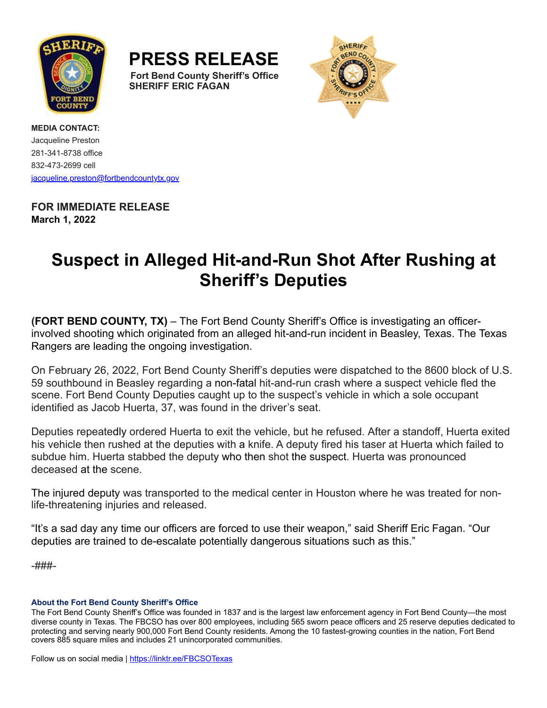

**PRESS RELEASE Fort Bend County Sheriff's Office SHERIFF ERIC FAGAN**



**MEDIA CONTACT:** Jacqueline Preston 281-341-8738 office 832-473-2699 cell [jacqueline.preston@fortbendcountytx.gov](mailto:jacqueline.preston@fortbendcountytx.gov)

## **FOR IMMEDIATE RELEASE March 1, 2022**

# **Suspect in Alleged Hit-and-Run Shot After Rushing at Sheriff's Deputies**

**(FORT BEND COUNTY, TX)** – The Fort Bend County Sheriff's Office is investigating an officerinvolved shooting which originated from an alleged hit-and-run incident in Beasley, Texas. The Texas Rangers are leading the ongoing investigation.

On February 26, 2022, Fort Bend County Sheriff's deputies were dispatched to the 8600 block of U.S. 59 southbound in Beasley regarding a non-fatal hit-and-run crash where a suspect vehicle fled the scene. Fort Bend County Deputies caught up to the suspect's vehicle in which a sole occupant identified as Jacob Huerta, 37, was found in the driver's seat.

Deputies repeatedly ordered Huerta to exit the vehicle, but he refused. After a standoff, Huerta exited his vehicle then rushed at the deputies with a knife. A deputy fired his taser at Huerta which failed to subdue him. Huerta stabbed the deputy who then shot the suspect. Huerta was pronounced deceased at the scene.

The injured deputy was transported to the medical center in Houston where he was treated for nonlife-threatening injuries and released.

"It's a sad day any time our officers are forced to use their weapon," said Sheriff Eric Fagan. "Our deputies are trained to de-escalate potentially dangerous situations such as this."

-###-

### **About the Fort Bend County Sheriff's Office**

The Fort Bend County Sheriff's Office was founded in 1837 and is the largest law enforcement agency in Fort Bend County—the most diverse county in Texas. The FBCSO has over 800 employees, including 565 sworn peace officers and 25 reserve deputies dedicated to protecting and serving nearly 900,000 Fort Bend County residents. Among the 10 fastest-growing counties in the nation, Fort Bend covers 885 square miles and includes 21 unincorporated communities.

Follow us on social media | [https://linktr.ee/FBCSOTexas](https://url.avanan.click/v2/___https:/urldefense.com/v3/__https:/url.avanan.click/v2/___https:/linktr.ee/FBCSOTexas___.YXAzOmZvcnRiZW5kY291bnR5dHg6YTpvOmViOGY1YzBiNGFlYzBmMTQ5NjExN2NiNDQyMjY1MWQxOjU6ODI2MToyNGYyOGY4ODA5NWVjMGM1MDhmZGQ5ZDViYzgxMWNlYzc4NDc5MjIzMTBhZWJkM2ZkZjRmOTU2ZmQ2MDc3ODZjOmg6Tg__;!!Ivohdkk!xBJHuZaoSt6Z3iwJNU7A4YB7RRqPJrBofMJ2b8qh9c1TMEXRGvwy5fYctMY_Mw$___.YXAzOmZvcnRiZW5kY291bnR5dHg6YTpvOjcxNDYyNTkwMjQ4N2JiMzI0MjQ2NDA5MGI0ZmU0MGJiOjU6YzkyODpkNDc4ZGQyMWExZTNkMzY0NzM1MmU0YjYxNDY3ZmQ0NmVjMmFmMzc4NGUwYjBjOTNiNGMzNTc0YTNiZjE0NTEwOmg6Tg)